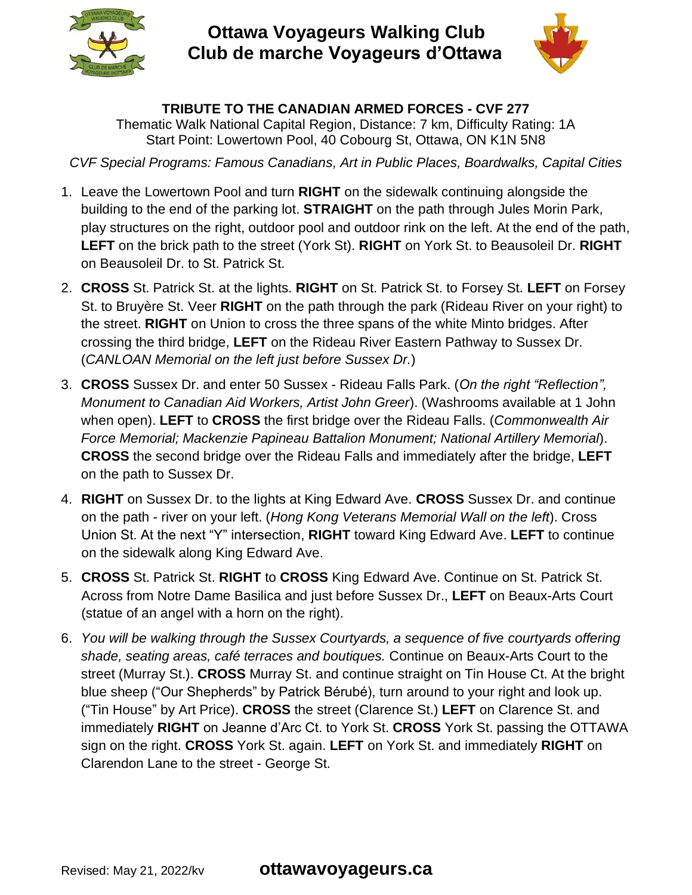

**Ottawa Voyageurs Walking Club Club de marche Voyageurs d'Ottawa**



## **TRIBUTE TO THE CANADIAN ARMED FORCES - CVF 277**

Thematic Walk National Capital Region, Distance: 7 km, Difficulty Rating: 1A Start Point: Lowertown Pool, 40 Cobourg St, Ottawa, ON K1N 5N8

*CVF Special Programs: Famous Canadians, Art in Public Places, Boardwalks, Capital Cities*

- 1. Leave the Lowertown Pool and turn **RIGHT** on the sidewalk continuing alongside the building to the end of the parking lot. **STRAIGHT** on the path through Jules Morin Park, play structures on the right, outdoor pool and outdoor rink on the left. At the end of the path, **LEFT** on the brick path to the street (York St). **RIGHT** on York St. to Beausoleil Dr. **RIGHT** on Beausoleil Dr. to St. Patrick St.
- 2. **CROSS** St. Patrick St. at the lights. **RIGHT** on St. Patrick St. to Forsey St. **LEFT** on Forsey St. to Bruyère St. Veer **RIGHT** on the path through the park (Rideau River on your right) to the street. **RIGHT** on Union to cross the three spans of the white Minto bridges. After crossing the third bridge, **LEFT** on the Rideau River Eastern Pathway to Sussex Dr. (*CANLOAN Memorial on the left just before Sussex Dr.*)
- 3. **CROSS** Sussex Dr. and enter 50 Sussex Rideau Falls Park. (*On the right "Reflection", Monument to Canadian Aid Workers, Artist John Greer*). (Washrooms available at 1 John when open). **LEFT** to **CROSS** the first bridge over the Rideau Falls. (*Commonwealth Air Force Memorial; Mackenzie Papineau Battalion Monument; National Artillery Memorial*). **CROSS** the second bridge over the Rideau Falls and immediately after the bridge, **LEFT** on the path to Sussex Dr.
- 4. **RIGHT** on Sussex Dr. to the lights at King Edward Ave. **CROSS** Sussex Dr. and continue on the path - river on your left. (*Hong Kong Veterans Memorial Wall on the left*). Cross Union St. At the next "Y" intersection, **RIGHT** toward King Edward Ave. **LEFT** to continue on the sidewalk along King Edward Ave.
- 5. **CROSS** St. Patrick St. **RIGHT** to **CROSS** King Edward Ave. Continue on St. Patrick St. Across from Notre Dame Basilica and just before Sussex Dr., **LEFT** on Beaux-Arts Court (statue of an angel with a horn on the right).
- 6. *You will be walking through the Sussex Courtyards, a sequence of five courtyards offering shade, seating areas, café terraces and boutiques.* Continue on Beaux-Arts Court to the street (Murray St.). **CROSS** Murray St. and continue straight on Tin House Ct. At the bright blue sheep ("Our Shepherds" by Patrick Bérubé), turn around to your right and look up. ("Tin House" by Art Price). **CROSS** the street (Clarence St.) **LEFT** on Clarence St. and immediately **RIGHT** on Jeanne d'Arc Ct. to York St. **CROSS** York St. passing the OTTAWA sign on the right. **CROSS** York St. again. **LEFT** on York St. and immediately **RIGHT** on Clarendon Lane to the street - George St.